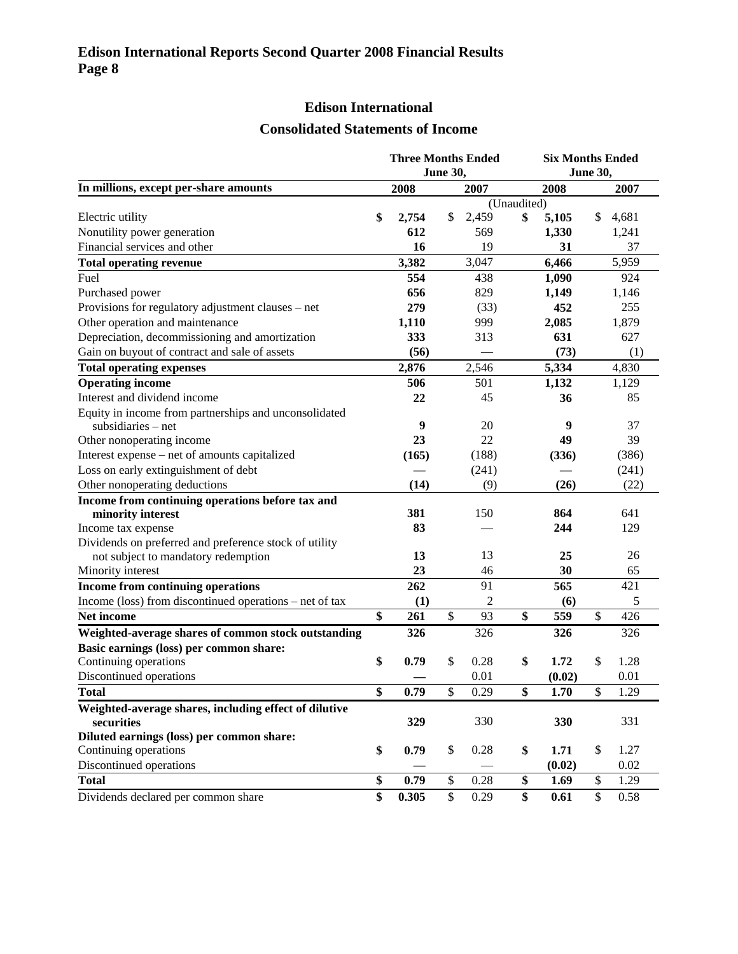## **Edison International**

## **Consolidated Statements of Income**

| <b>June 30,</b><br><b>June 30,</b><br>In millions, except per-share amounts<br>2008<br>2007<br>2008<br>2007<br>(Unaudited)<br>\$<br>2,459<br>\$<br>5,105<br>\$<br>Electric utility<br>2,754<br>$\mathbb{S}$<br>4,681<br>Nonutility power generation<br>612<br>569<br>1,330<br>1,241<br>Financial services and other<br>16<br>19<br>31<br>37<br>3,382<br>6,466<br>5,959<br><b>Total operating revenue</b><br>3,047<br>Fuel<br>554<br>438<br>1,090<br>924<br>656<br>829<br>1,149<br>Purchased power<br>1,146<br>279<br>452<br>Provisions for regulatory adjustment clauses - net<br>255<br>(33)<br>Other operation and maintenance<br>1,879<br>1,110<br>999<br>2,085<br>Depreciation, decommissioning and amortization<br>631<br>333<br>313<br>627<br>Gain on buyout of contract and sale of assets<br>(56)<br>(73)<br>(1)<br>2,546<br>5,334<br>4,830<br>2,876<br><b>Total operating expenses</b><br><b>Operating income</b><br>506<br>501<br>1,132<br>1,129<br>Interest and dividend income<br>22<br>36<br>45<br>85<br>Equity in income from partnerships and unconsolidated<br>9<br>9<br>20<br>37<br>subsidiaries $-$ net<br>23<br>49<br>39<br>Other nonoperating income<br>22<br>Interest expense - net of amounts capitalized<br>(188)<br>(386)<br>(165)<br>(336)<br>Loss on early extinguishment of debt<br>(241)<br>(241) |
|-------------------------------------------------------------------------------------------------------------------------------------------------------------------------------------------------------------------------------------------------------------------------------------------------------------------------------------------------------------------------------------------------------------------------------------------------------------------------------------------------------------------------------------------------------------------------------------------------------------------------------------------------------------------------------------------------------------------------------------------------------------------------------------------------------------------------------------------------------------------------------------------------------------------------------------------------------------------------------------------------------------------------------------------------------------------------------------------------------------------------------------------------------------------------------------------------------------------------------------------------------------------------------------------------------------------------------|
|                                                                                                                                                                                                                                                                                                                                                                                                                                                                                                                                                                                                                                                                                                                                                                                                                                                                                                                                                                                                                                                                                                                                                                                                                                                                                                                               |
|                                                                                                                                                                                                                                                                                                                                                                                                                                                                                                                                                                                                                                                                                                                                                                                                                                                                                                                                                                                                                                                                                                                                                                                                                                                                                                                               |
|                                                                                                                                                                                                                                                                                                                                                                                                                                                                                                                                                                                                                                                                                                                                                                                                                                                                                                                                                                                                                                                                                                                                                                                                                                                                                                                               |
|                                                                                                                                                                                                                                                                                                                                                                                                                                                                                                                                                                                                                                                                                                                                                                                                                                                                                                                                                                                                                                                                                                                                                                                                                                                                                                                               |
|                                                                                                                                                                                                                                                                                                                                                                                                                                                                                                                                                                                                                                                                                                                                                                                                                                                                                                                                                                                                                                                                                                                                                                                                                                                                                                                               |
|                                                                                                                                                                                                                                                                                                                                                                                                                                                                                                                                                                                                                                                                                                                                                                                                                                                                                                                                                                                                                                                                                                                                                                                                                                                                                                                               |
|                                                                                                                                                                                                                                                                                                                                                                                                                                                                                                                                                                                                                                                                                                                                                                                                                                                                                                                                                                                                                                                                                                                                                                                                                                                                                                                               |
|                                                                                                                                                                                                                                                                                                                                                                                                                                                                                                                                                                                                                                                                                                                                                                                                                                                                                                                                                                                                                                                                                                                                                                                                                                                                                                                               |
|                                                                                                                                                                                                                                                                                                                                                                                                                                                                                                                                                                                                                                                                                                                                                                                                                                                                                                                                                                                                                                                                                                                                                                                                                                                                                                                               |
|                                                                                                                                                                                                                                                                                                                                                                                                                                                                                                                                                                                                                                                                                                                                                                                                                                                                                                                                                                                                                                                                                                                                                                                                                                                                                                                               |
|                                                                                                                                                                                                                                                                                                                                                                                                                                                                                                                                                                                                                                                                                                                                                                                                                                                                                                                                                                                                                                                                                                                                                                                                                                                                                                                               |
|                                                                                                                                                                                                                                                                                                                                                                                                                                                                                                                                                                                                                                                                                                                                                                                                                                                                                                                                                                                                                                                                                                                                                                                                                                                                                                                               |
|                                                                                                                                                                                                                                                                                                                                                                                                                                                                                                                                                                                                                                                                                                                                                                                                                                                                                                                                                                                                                                                                                                                                                                                                                                                                                                                               |
|                                                                                                                                                                                                                                                                                                                                                                                                                                                                                                                                                                                                                                                                                                                                                                                                                                                                                                                                                                                                                                                                                                                                                                                                                                                                                                                               |
|                                                                                                                                                                                                                                                                                                                                                                                                                                                                                                                                                                                                                                                                                                                                                                                                                                                                                                                                                                                                                                                                                                                                                                                                                                                                                                                               |
|                                                                                                                                                                                                                                                                                                                                                                                                                                                                                                                                                                                                                                                                                                                                                                                                                                                                                                                                                                                                                                                                                                                                                                                                                                                                                                                               |
|                                                                                                                                                                                                                                                                                                                                                                                                                                                                                                                                                                                                                                                                                                                                                                                                                                                                                                                                                                                                                                                                                                                                                                                                                                                                                                                               |
|                                                                                                                                                                                                                                                                                                                                                                                                                                                                                                                                                                                                                                                                                                                                                                                                                                                                                                                                                                                                                                                                                                                                                                                                                                                                                                                               |
|                                                                                                                                                                                                                                                                                                                                                                                                                                                                                                                                                                                                                                                                                                                                                                                                                                                                                                                                                                                                                                                                                                                                                                                                                                                                                                                               |
|                                                                                                                                                                                                                                                                                                                                                                                                                                                                                                                                                                                                                                                                                                                                                                                                                                                                                                                                                                                                                                                                                                                                                                                                                                                                                                                               |
|                                                                                                                                                                                                                                                                                                                                                                                                                                                                                                                                                                                                                                                                                                                                                                                                                                                                                                                                                                                                                                                                                                                                                                                                                                                                                                                               |
| Other nonoperating deductions<br>(14)<br>(26)<br>(22)<br>(9)                                                                                                                                                                                                                                                                                                                                                                                                                                                                                                                                                                                                                                                                                                                                                                                                                                                                                                                                                                                                                                                                                                                                                                                                                                                                  |
| Income from continuing operations before tax and                                                                                                                                                                                                                                                                                                                                                                                                                                                                                                                                                                                                                                                                                                                                                                                                                                                                                                                                                                                                                                                                                                                                                                                                                                                                              |
| 381<br>150<br>864<br>641<br>minority interest                                                                                                                                                                                                                                                                                                                                                                                                                                                                                                                                                                                                                                                                                                                                                                                                                                                                                                                                                                                                                                                                                                                                                                                                                                                                                 |
| Income tax expense<br>83<br>244<br>129                                                                                                                                                                                                                                                                                                                                                                                                                                                                                                                                                                                                                                                                                                                                                                                                                                                                                                                                                                                                                                                                                                                                                                                                                                                                                        |
| Dividends on preferred and preference stock of utility                                                                                                                                                                                                                                                                                                                                                                                                                                                                                                                                                                                                                                                                                                                                                                                                                                                                                                                                                                                                                                                                                                                                                                                                                                                                        |
| 13<br>13<br>25<br>26<br>not subject to mandatory redemption                                                                                                                                                                                                                                                                                                                                                                                                                                                                                                                                                                                                                                                                                                                                                                                                                                                                                                                                                                                                                                                                                                                                                                                                                                                                   |
| 23<br>65<br>46<br>30<br>Minority interest                                                                                                                                                                                                                                                                                                                                                                                                                                                                                                                                                                                                                                                                                                                                                                                                                                                                                                                                                                                                                                                                                                                                                                                                                                                                                     |
| <b>Income from continuing operations</b><br>262<br>91<br>565<br>421                                                                                                                                                                                                                                                                                                                                                                                                                                                                                                                                                                                                                                                                                                                                                                                                                                                                                                                                                                                                                                                                                                                                                                                                                                                           |
| $\overline{2}$<br>Income (loss) from discontinued operations – net of tax<br>(1)<br>(6)<br>5                                                                                                                                                                                                                                                                                                                                                                                                                                                                                                                                                                                                                                                                                                                                                                                                                                                                                                                                                                                                                                                                                                                                                                                                                                  |
| \$<br>261<br>\$<br>\$<br>\$<br>Net income<br>93<br>559<br>426                                                                                                                                                                                                                                                                                                                                                                                                                                                                                                                                                                                                                                                                                                                                                                                                                                                                                                                                                                                                                                                                                                                                                                                                                                                                 |
| 326<br>326<br>326<br>326<br>Weighted-average shares of common stock outstanding                                                                                                                                                                                                                                                                                                                                                                                                                                                                                                                                                                                                                                                                                                                                                                                                                                                                                                                                                                                                                                                                                                                                                                                                                                               |
| Basic earnings (loss) per common share:                                                                                                                                                                                                                                                                                                                                                                                                                                                                                                                                                                                                                                                                                                                                                                                                                                                                                                                                                                                                                                                                                                                                                                                                                                                                                       |
| Continuing operations<br>\$<br>\$<br>\$<br>0.28<br>1.72<br>\$<br>0.79<br>1.28                                                                                                                                                                                                                                                                                                                                                                                                                                                                                                                                                                                                                                                                                                                                                                                                                                                                                                                                                                                                                                                                                                                                                                                                                                                 |
| 0.01<br>Discontinued operations<br>0.01<br>(0.02)                                                                                                                                                                                                                                                                                                                                                                                                                                                                                                                                                                                                                                                                                                                                                                                                                                                                                                                                                                                                                                                                                                                                                                                                                                                                             |
| \$<br>0.79<br>\$<br>\$<br>\$<br><b>Total</b><br>0.29<br>1.70<br>1.29                                                                                                                                                                                                                                                                                                                                                                                                                                                                                                                                                                                                                                                                                                                                                                                                                                                                                                                                                                                                                                                                                                                                                                                                                                                          |
| Weighted-average shares, including effect of dilutive                                                                                                                                                                                                                                                                                                                                                                                                                                                                                                                                                                                                                                                                                                                                                                                                                                                                                                                                                                                                                                                                                                                                                                                                                                                                         |
| 330<br>329<br>330<br>331<br>securities                                                                                                                                                                                                                                                                                                                                                                                                                                                                                                                                                                                                                                                                                                                                                                                                                                                                                                                                                                                                                                                                                                                                                                                                                                                                                        |
| Diluted earnings (loss) per common share:                                                                                                                                                                                                                                                                                                                                                                                                                                                                                                                                                                                                                                                                                                                                                                                                                                                                                                                                                                                                                                                                                                                                                                                                                                                                                     |
| \$<br>\$<br>\$<br>\$<br>Continuing operations<br>0.79<br>0.28<br>1.71<br>1.27                                                                                                                                                                                                                                                                                                                                                                                                                                                                                                                                                                                                                                                                                                                                                                                                                                                                                                                                                                                                                                                                                                                                                                                                                                                 |
| Discontinued operations<br>0.02<br>(0.02)                                                                                                                                                                                                                                                                                                                                                                                                                                                                                                                                                                                                                                                                                                                                                                                                                                                                                                                                                                                                                                                                                                                                                                                                                                                                                     |
| \$<br>0.79<br><b>Total</b><br>\$<br>0.28<br>\$<br>1.69<br>\$<br>1.29                                                                                                                                                                                                                                                                                                                                                                                                                                                                                                                                                                                                                                                                                                                                                                                                                                                                                                                                                                                                                                                                                                                                                                                                                                                          |
| \$<br>0.305<br>\$<br>\$<br>Dividends declared per common share<br>0.29<br>0.61<br>\$<br>0.58                                                                                                                                                                                                                                                                                                                                                                                                                                                                                                                                                                                                                                                                                                                                                                                                                                                                                                                                                                                                                                                                                                                                                                                                                                  |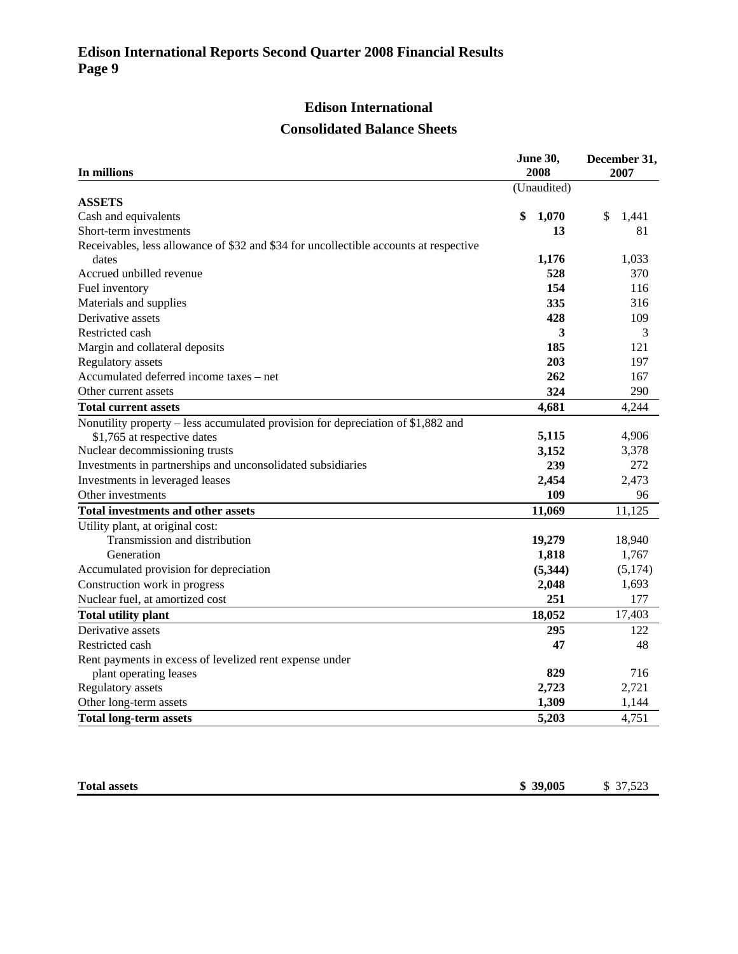## **Edison International**

#### **Consolidated Balance Sheets**

| In millions                                                                           | <b>June 30,</b><br>2008 | December 31,<br>2007 |
|---------------------------------------------------------------------------------------|-------------------------|----------------------|
|                                                                                       | (Unaudited)             |                      |
| <b>ASSETS</b>                                                                         |                         |                      |
| Cash and equivalents                                                                  | \$<br>1,070             | \$<br>1,441          |
| Short-term investments                                                                | 13                      | 81                   |
| Receivables, less allowance of \$32 and \$34 for uncollectible accounts at respective |                         |                      |
| dates                                                                                 | 1,176                   | 1,033                |
| Accrued unbilled revenue                                                              | 528                     | 370                  |
| Fuel inventory                                                                        | 154                     | 116                  |
| Materials and supplies                                                                | 335                     | 316                  |
| Derivative assets                                                                     | 428                     | 109                  |
| Restricted cash                                                                       | 3                       | 3                    |
| Margin and collateral deposits                                                        | 185                     | 121                  |
| Regulatory assets                                                                     | 203                     | 197                  |
| Accumulated deferred income taxes - net                                               | 262                     | 167                  |
| Other current assets                                                                  | 324                     | 290                  |
| <b>Total current assets</b>                                                           | 4,681                   | 4,244                |
| Nonutility property – less accumulated provision for depreciation of \$1,882 and      |                         |                      |
| \$1,765 at respective dates                                                           | 5,115                   | 4,906                |
| Nuclear decommissioning trusts                                                        | 3,152                   | 3,378                |
| Investments in partnerships and unconsolidated subsidiaries                           | 239                     | 272                  |
| Investments in leveraged leases                                                       | 2,454                   | 2,473                |
| Other investments                                                                     | 109                     | 96                   |
| <b>Total investments and other assets</b>                                             | 11,069                  | 11,125               |
| Utility plant, at original cost:                                                      |                         |                      |
| Transmission and distribution                                                         | 19,279                  | 18,940               |
| Generation                                                                            | 1,818                   | 1,767                |
| Accumulated provision for depreciation                                                | (5,344)                 | (5,174)              |
| Construction work in progress                                                         | 2,048                   | 1,693                |
| Nuclear fuel, at amortized cost                                                       | 251                     | 177                  |
| <b>Total utility plant</b>                                                            | 18,052                  | 17,403               |
| Derivative assets                                                                     | 295                     | 122                  |
| Restricted cash                                                                       | 47                      | 48                   |
| Rent payments in excess of levelized rent expense under                               |                         |                      |
| plant operating leases                                                                | 829                     | 716                  |
| Regulatory assets                                                                     | 2,723                   | 2,721                |
| Other long-term assets                                                                | 1,309                   | 1,144                |
| <b>Total long-term assets</b>                                                         | 5,203                   | 4,751                |

| <b>Total assets</b><br>. | 39,005<br>m<br>$\sqrt{2}$<br>. . - | 27.52<br>$\cdots$<br>- - |
|--------------------------|------------------------------------|--------------------------|
|                          |                                    |                          |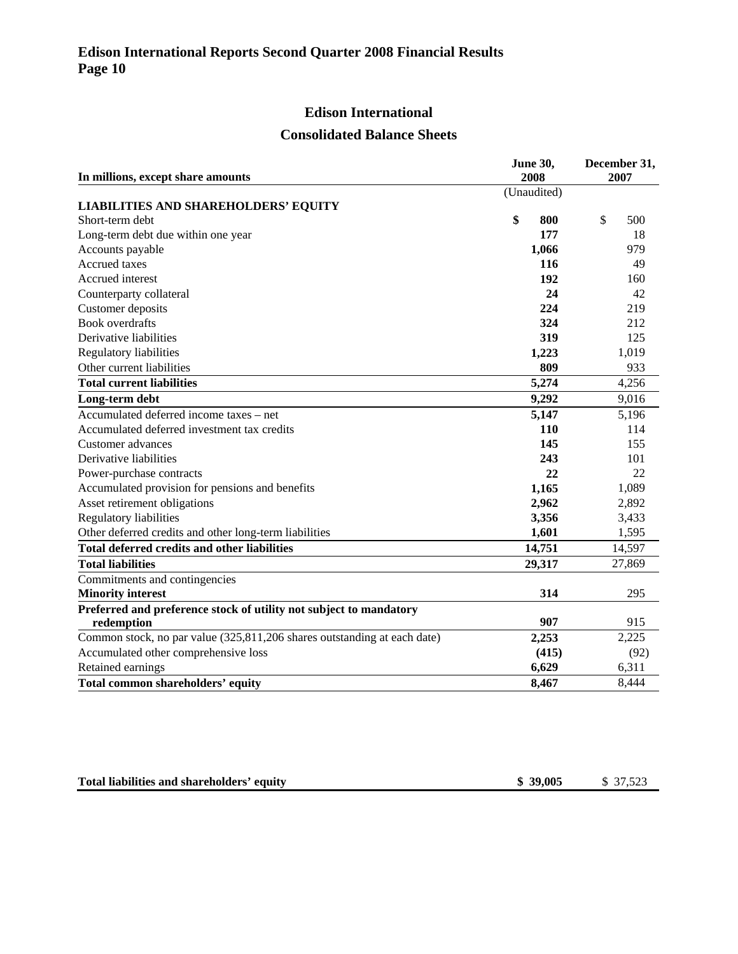# **Edison International**

#### **Consolidated Balance Sheets**

| In millions, except share amounts                                        | <b>June 30,</b><br>2008 | December 31,<br>2007 |
|--------------------------------------------------------------------------|-------------------------|----------------------|
|                                                                          | (Unaudited)             |                      |
| <b>LIABILITIES AND SHAREHOLDERS' EQUITY</b>                              |                         |                      |
| Short-term debt                                                          | \$<br>800               | \$<br>500            |
| Long-term debt due within one year                                       | 177                     | 18                   |
| Accounts payable                                                         | 1,066                   | 979                  |
| Accrued taxes                                                            | 116                     | 49                   |
| Accrued interest                                                         | 192                     | 160                  |
| Counterparty collateral                                                  | 24                      | 42                   |
| Customer deposits                                                        | 224                     | 219                  |
| <b>Book</b> overdrafts                                                   | 324                     | 212                  |
| Derivative liabilities                                                   | 319                     | 125                  |
| Regulatory liabilities                                                   | 1,223                   | 1,019                |
| Other current liabilities                                                | 809                     | 933                  |
| <b>Total current liabilities</b>                                         | 5,274                   | 4,256                |
| Long-term debt                                                           | 9,292                   | 9,016                |
| Accumulated deferred income taxes - net                                  | 5,147                   | 5,196                |
| Accumulated deferred investment tax credits                              | 110                     | 114                  |
| Customer advances                                                        | 145                     | 155                  |
| Derivative liabilities                                                   | 243                     | 101                  |
| Power-purchase contracts                                                 | 22                      | 22                   |
| Accumulated provision for pensions and benefits                          | 1,165                   | 1,089                |
| Asset retirement obligations                                             | 2,962                   | 2,892                |
| Regulatory liabilities                                                   | 3,356                   | 3,433                |
| Other deferred credits and other long-term liabilities                   | 1,601                   | 1,595                |
| <b>Total deferred credits and other liabilities</b>                      | 14,751                  | 14,597               |
| <b>Total liabilities</b>                                                 | 29,317                  | 27,869               |
| Commitments and contingencies                                            |                         |                      |
| <b>Minority interest</b>                                                 | 314                     | 295                  |
| Preferred and preference stock of utility not subject to mandatory       |                         |                      |
| redemption                                                               | 907                     | 915                  |
| Common stock, no par value (325,811,206 shares outstanding at each date) | 2,253                   | 2,225                |
| Accumulated other comprehensive loss                                     | (415)                   | (92)                 |
| Retained earnings                                                        | 6,629                   | 6,311                |
| Total common shareholders' equity                                        | 8,467                   | 8,444                |

| \$39,005<br>Total liabilities and shareholders' equity | \$ 37,523 |
|--------------------------------------------------------|-----------|
|--------------------------------------------------------|-----------|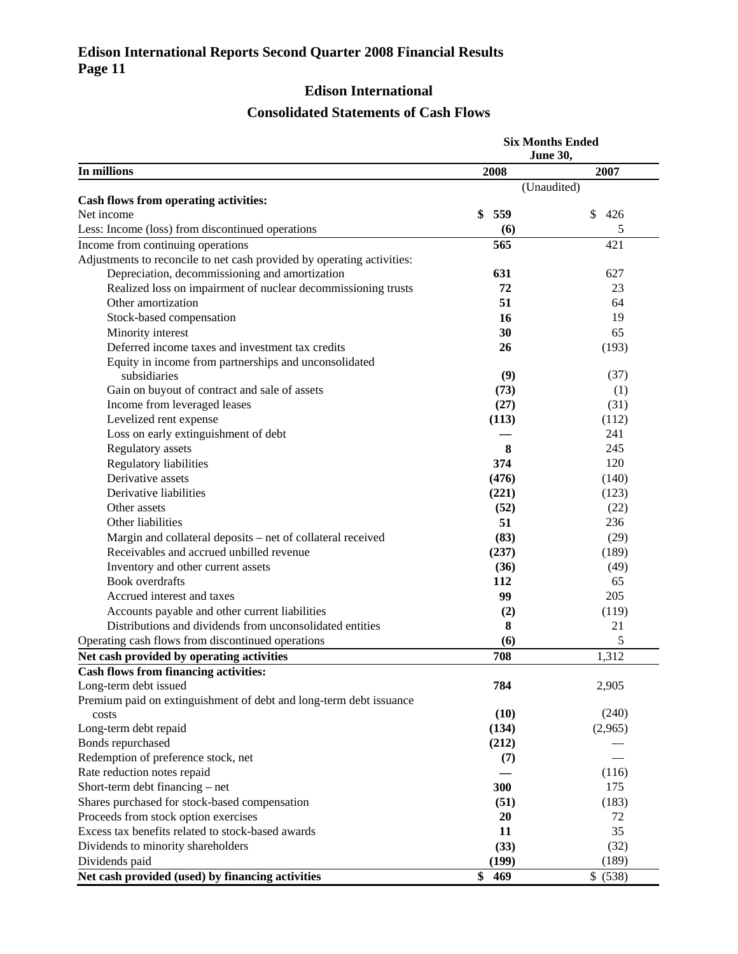#### **Edison International Reports Second Quarter 2008 Financial Results Page 11**

# **Edison International**

# **Consolidated Statements of Cash Flows**

| <b>June 30,</b>                                                        |           |
|------------------------------------------------------------------------|-----------|
| In millions<br>2008                                                    | 2007      |
| (Unaudited)                                                            |           |
| Cash flows from operating activities:                                  |           |
| 559<br>Net income<br>\$                                                | \$<br>426 |
| Less: Income (loss) from discontinued operations<br>(6)                | 5         |
| Income from continuing operations<br>565                               | 421       |
| Adjustments to reconcile to net cash provided by operating activities: |           |
| Depreciation, decommissioning and amortization<br>631                  | 627       |
| 72<br>Realized loss on impairment of nuclear decommissioning trusts    | 23        |
| Other amortization<br>51                                               | 64        |
| Stock-based compensation<br>16                                         | 19        |
| Minority interest<br>30                                                | 65        |
| Deferred income taxes and investment tax credits<br>26                 | (193)     |
| Equity in income from partnerships and unconsolidated                  |           |
| (9)<br>subsidiaries                                                    | (37)      |
| Gain on buyout of contract and sale of assets<br>(73)                  | (1)       |
| Income from leveraged leases<br>(27)                                   | (31)      |
| Levelized rent expense<br>(113)                                        | (112)     |
| Loss on early extinguishment of debt                                   | 241       |
| Regulatory assets<br>8                                                 | 245       |
| Regulatory liabilities<br>374                                          | 120       |
| Derivative assets<br>(476)                                             | (140)     |
| Derivative liabilities<br>(221)                                        | (123)     |
| Other assets<br>(52)                                                   | (22)      |
| 51<br>Other liabilities                                                | 236       |
| Margin and collateral deposits - net of collateral received<br>(83)    | (29)      |
| Receivables and accrued unbilled revenue<br>(237)                      | (189)     |
| Inventory and other current assets<br>(36)                             | (49)      |
| <b>Book</b> overdrafts<br>112                                          | 65        |
| Accrued interest and taxes<br>99                                       | 205       |
| Accounts payable and other current liabilities<br>(2)                  | (119)     |
| Distributions and dividends from unconsolidated entities<br>8          | 21        |
| Operating cash flows from discontinued operations<br>(6)               | 5         |
| Net cash provided by operating activities<br>708                       | 1,312     |
| <b>Cash flows from financing activities:</b>                           |           |
| 784<br>Long-term debt issued                                           | 2,905     |
| Premium paid on extinguishment of debt and long-term debt issuance     |           |
| (10)<br>costs                                                          | (240)     |
| Long-term debt repaid<br>(134)                                         | (2,965)   |
| Bonds repurchased<br>(212)                                             |           |
| Redemption of preference stock, net<br>(7)                             |           |
| Rate reduction notes repaid                                            | (116)     |
| Short-term debt financing – net<br>300                                 | 175       |
| Shares purchased for stock-based compensation<br>(51)                  | (183)     |
| Proceeds from stock option exercises<br>20                             | 72        |
| Excess tax benefits related to stock-based awards<br>11                | 35        |
| Dividends to minority shareholders<br>(33)                             | (32)      |
| Dividends paid<br>(199)                                                | (189)     |
| \$<br>Net cash provided (used) by financing activities<br>469          | \$ (538)  |